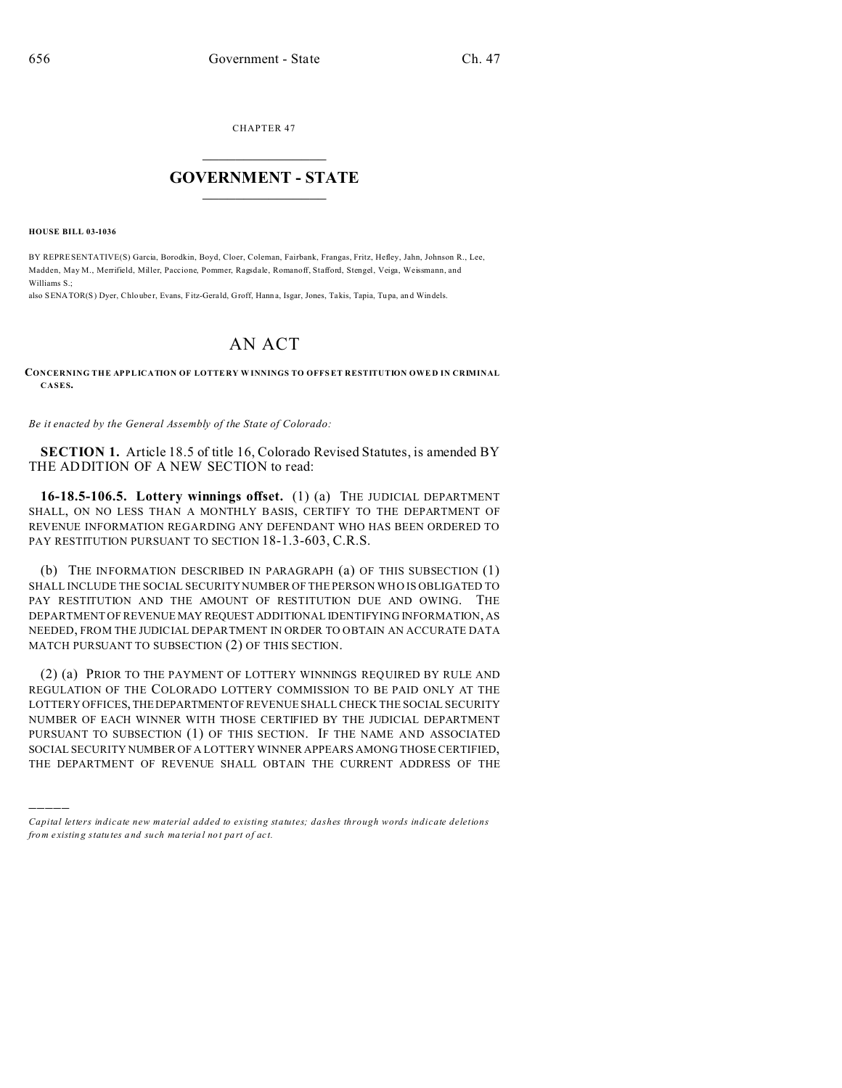CHAPTER 47  $\overline{\phantom{a}}$  , where  $\overline{\phantom{a}}$ 

## **GOVERNMENT - STATE**  $\_$   $\_$   $\_$   $\_$   $\_$   $\_$   $\_$   $\_$   $\_$

**HOUSE BILL 03-1036**

)))))

BY REPRESENTATIVE(S) Garcia, Borodkin, Boyd, Cloer, Coleman, Fairbank, Frangas, Fritz, Hefley, Jahn, Johnson R., Lee, Madden, May M., Merrifield, Miller, Paccione, Pommer, Ragsdale, Romanoff, Stafford, Stengel, Veiga, Weissmann, and Williams S.;

also SENATOR(S) Dyer, Chlouber, Evans, Fitz-Gerald, Groff, Hanna, Isgar, Jones, Takis, Tapia, Tupa, and Windels.

## AN ACT

**CONCERNING THE APPLICATION OF LOTTE RY W INNINGS TO OFFSET RESTITUTION OWE D IN CRIMINAL CASES.**

*Be it enacted by the General Assembly of the State of Colorado:*

**SECTION 1.** Article 18.5 of title 16, Colorado Revised Statutes, is amended BY THE ADDITION OF A NEW SECTION to read:

**16-18.5-106.5. Lottery winnings offset.** (1) (a) THE JUDICIAL DEPARTMENT SHALL, ON NO LESS THAN A MONTHLY BASIS, CERTIFY TO THE DEPARTMENT OF REVENUE INFORMATION REGARDING ANY DEFENDANT WHO HAS BEEN ORDERED TO PAY RESTITUTION PURSUANT TO SECTION 18-1.3-603, C.R.S.

(b) THE INFORMATION DESCRIBED IN PARAGRAPH (a) OF THIS SUBSECTION (1) SHALL INCLUDE THE SOCIAL SECURITY NUMBER OF THE PERSON WHO IS OBLIGATED TO PAY RESTITUTION AND THE AMOUNT OF RESTITUTION DUE AND OWING. THE DEPARTMENT OF REVENUE MAY REQUEST ADDITIONAL IDENTIFYING INFORMATION, AS NEEDED, FROM THE JUDICIAL DEPARTMENT IN ORDER TO OBTAIN AN ACCURATE DATA MATCH PURSUANT TO SUBSECTION (2) OF THIS SECTION.

(2) (a) PRIOR TO THE PAYMENT OF LOTTERY WINNINGS REQUIRED BY RULE AND REGULATION OF THE COLORADO LOTTERY COMMISSION TO BE PAID ONLY AT THE LOTTERY OFFICES, THEDEPARTMENTOF REVENUE SHALL CHECK THE SOCIAL SECURITY NUMBER OF EACH WINNER WITH THOSE CERTIFIED BY THE JUDICIAL DEPARTMENT PURSUANT TO SUBSECTION (1) OF THIS SECTION. IF THE NAME AND ASSOCIATED SOCIAL SECURITY NUMBER OF A LOTTERY WINNER APPEARS AMONG THOSE CERTIFIED, THE DEPARTMENT OF REVENUE SHALL OBTAIN THE CURRENT ADDRESS OF THE

*Capital letters indicate new material added to existing statutes; dashes through words indicate deletions from e xistin g statu tes a nd such ma teria l no t pa rt of ac t.*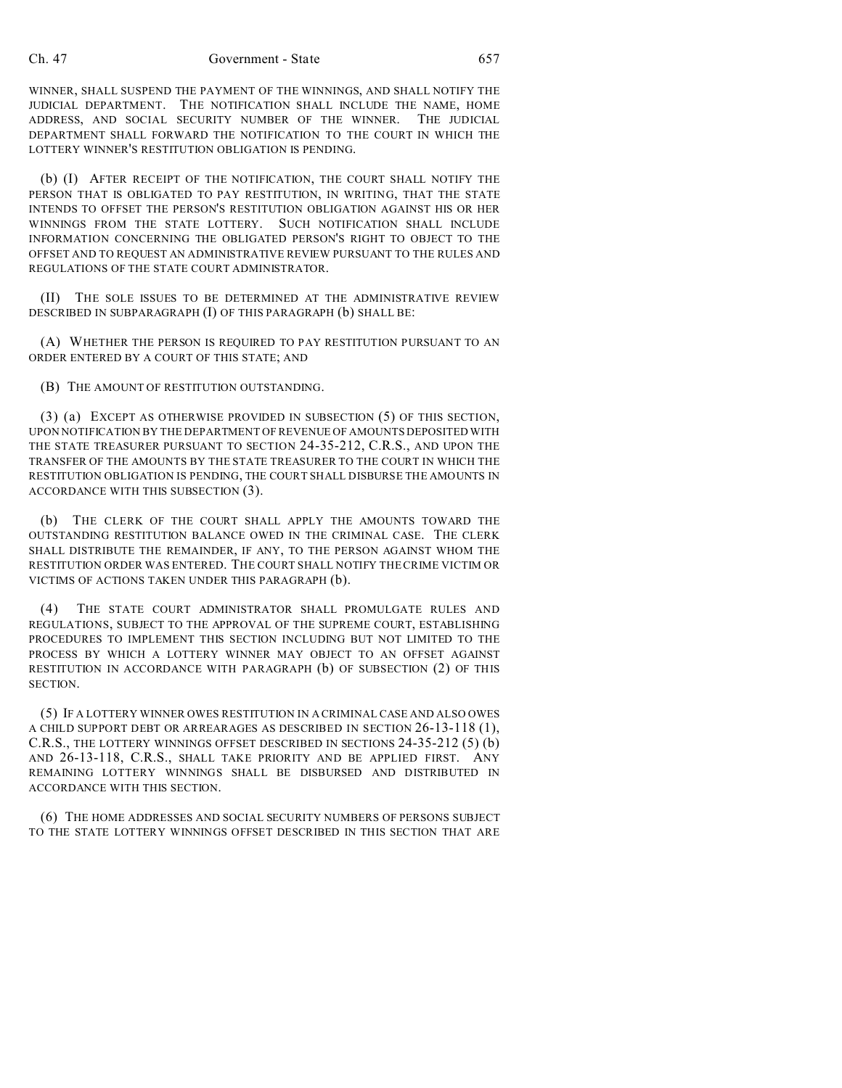## Ch. 47 Government - State 657

WINNER, SHALL SUSPEND THE PAYMENT OF THE WINNINGS, AND SHALL NOTIFY THE JUDICIAL DEPARTMENT. THE NOTIFICATION SHALL INCLUDE THE NAME, HOME ADDRESS, AND SOCIAL SECURITY NUMBER OF THE WINNER. THE JUDICIAL DEPARTMENT SHALL FORWARD THE NOTIFICATION TO THE COURT IN WHICH THE LOTTERY WINNER'S RESTITUTION OBLIGATION IS PENDING.

(b) (I) AFTER RECEIPT OF THE NOTIFICATION, THE COURT SHALL NOTIFY THE PERSON THAT IS OBLIGATED TO PAY RESTITUTION, IN WRITING, THAT THE STATE INTENDS TO OFFSET THE PERSON'S RESTITUTION OBLIGATION AGAINST HIS OR HER WINNINGS FROM THE STATE LOTTERY. SUCH NOTIFICATION SHALL INCLUDE INFORMATION CONCERNING THE OBLIGATED PERSON'S RIGHT TO OBJECT TO THE OFFSET AND TO REQUEST AN ADMINISTRATIVE REVIEW PURSUANT TO THE RULES AND REGULATIONS OF THE STATE COURT ADMINISTRATOR.

(II) THE SOLE ISSUES TO BE DETERMINED AT THE ADMINISTRATIVE REVIEW DESCRIBED IN SUBPARAGRAPH (I) OF THIS PARAGRAPH (b) SHALL BE:

(A) WHETHER THE PERSON IS REQUIRED TO PAY RESTITUTION PURSUANT TO AN ORDER ENTERED BY A COURT OF THIS STATE; AND

(B) THE AMOUNT OF RESTITUTION OUTSTANDING.

(3) (a) EXCEPT AS OTHERWISE PROVIDED IN SUBSECTION (5) OF THIS SECTION, UPON NOTIFICATION BY THE DEPARTMENT OF REVENUE OF AMOUNTS DEPOSITED WITH THE STATE TREASURER PURSUANT TO SECTION 24-35-212, C.R.S., AND UPON THE TRANSFER OF THE AMOUNTS BY THE STATE TREASURER TO THE COURT IN WHICH THE RESTITUTION OBLIGATION IS PENDING, THE COURT SHALL DISBURSE THE AMOUNTS IN ACCORDANCE WITH THIS SUBSECTION (3).

(b) THE CLERK OF THE COURT SHALL APPLY THE AMOUNTS TOWARD THE OUTSTANDING RESTITUTION BALANCE OWED IN THE CRIMINAL CASE. THE CLERK SHALL DISTRIBUTE THE REMAINDER, IF ANY, TO THE PERSON AGAINST WHOM THE RESTITUTION ORDER WAS ENTERED. THE COURT SHALL NOTIFY THE CRIME VICTIM OR VICTIMS OF ACTIONS TAKEN UNDER THIS PARAGRAPH (b).

(4) THE STATE COURT ADMINISTRATOR SHALL PROMULGATE RULES AND REGULATIONS, SUBJECT TO THE APPROVAL OF THE SUPREME COURT, ESTABLISHING PROCEDURES TO IMPLEMENT THIS SECTION INCLUDING BUT NOT LIMITED TO THE PROCESS BY WHICH A LOTTERY WINNER MAY OBJECT TO AN OFFSET AGAINST RESTITUTION IN ACCORDANCE WITH PARAGRAPH (b) OF SUBSECTION (2) OF THIS SECTION.

(5) IF A LOTTERY WINNER OWES RESTITUTION IN A CRIMINAL CASE AND ALSO OWES A CHILD SUPPORT DEBT OR ARREARAGES AS DESCRIBED IN SECTION 26-13-118 (1), C.R.S., THE LOTTERY WINNINGS OFFSET DESCRIBED IN SECTIONS 24-35-212 (5) (b) AND 26-13-118, C.R.S., SHALL TAKE PRIORITY AND BE APPLIED FIRST. ANY REMAINING LOTTERY WINNINGS SHALL BE DISBURSED AND DISTRIBUTED IN ACCORDANCE WITH THIS SECTION.

(6) THE HOME ADDRESSES AND SOCIAL SECURITY NUMBERS OF PERSONS SUBJECT TO THE STATE LOTTERY WINNINGS OFFSET DESCRIBED IN THIS SECTION THAT ARE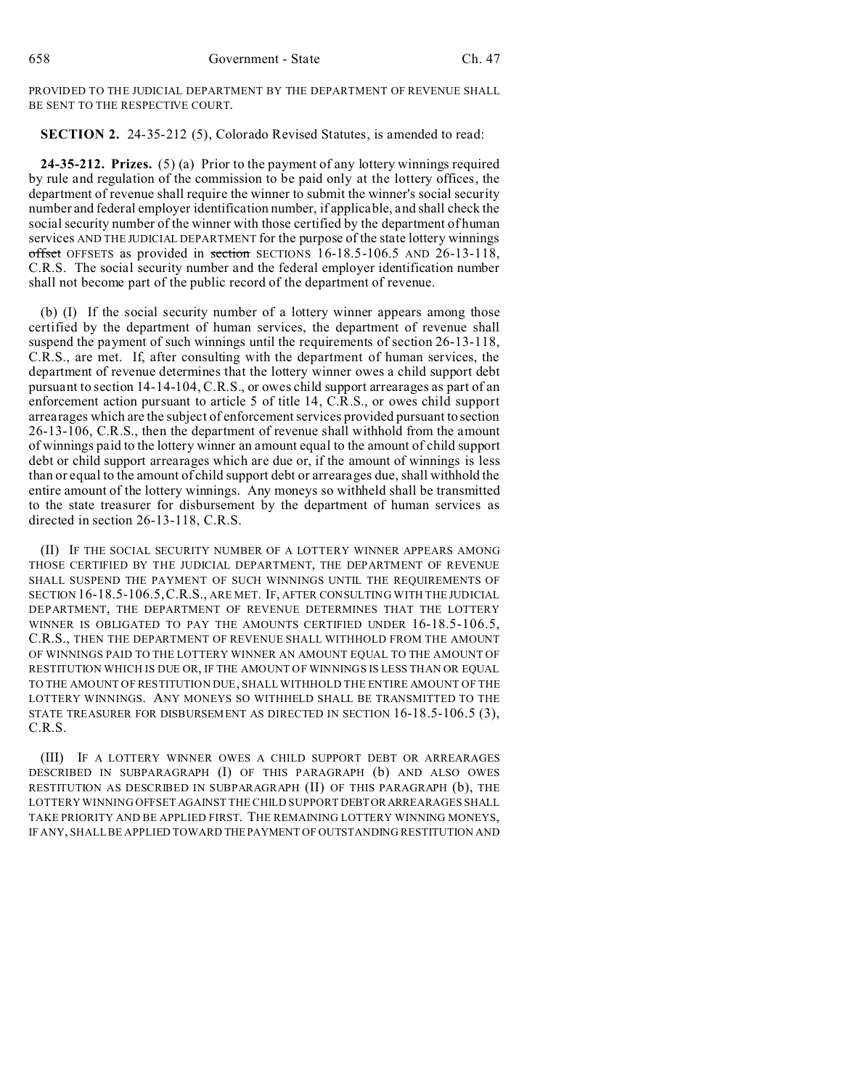PROVIDED TO THE JUDICIAL DEPARTMENT BY THE DEPARTMENT OF REVENUE SHALL BE SENT TO THE RESPECTIVE COURT.

**SECTION 2.** 24-35-212 (5), Colorado Revised Statutes, is amended to read:

**24-35-212. Prizes.** (5) (a) Prior to the payment of any lottery winnings required by rule and regulation of the commission to be paid only at the lottery offices, the department of revenue shall require the winner to submit the winner's social security number and federal employer identification number, if applicable, and shall check the social security number of the winner with those certified by the department of human services AND THE JUDICIAL DEPARTMENT for the purpose of the state lottery winnings offset OFFSETS as provided in section SECTIONS 16-18.5-106.5 AND 26-13-118, C.R.S. The social security number and the federal employer identification number shall not become part of the public record of the department of revenue.

(b) (I) If the social security number of a lottery winner appears among those certified by the department of human services, the department of revenue shall suspend the payment of such winnings until the requirements of section 26-13-118, C.R.S., are met. If, after consulting with the department of human services, the department of revenue determines that the lottery winner owes a child support debt pursuant to section 14-14-104, C.R.S., or owes child support arrearages as part of an enforcement action pursuant to article 5 of title 14, C.R.S., or owes child support arrearages which are the subject of enforcement services provided pursuant to section 26-13-106, C.R.S., then the department of revenue shall withhold from the amount of winnings paid to the lottery winner an amount equal to the amount of child support debt or child support arrearages which are due or, if the amount of winnings is less than or equal to the amount of child support debt or arrearages due, shall withhold the entire amount of the lottery winnings. Any moneys so withheld shall be transmitted to the state treasurer for disbursement by the department of human services as directed in section 26-13-118, C.R.S.

(II) IF THE SOCIAL SECURITY NUMBER OF A LOTTERY WINNER APPEARS AMONG THOSE CERTIFIED BY THE JUDICIAL DEPARTMENT, THE DEPARTMENT OF REVENUE SHALL SUSPEND THE PAYMENT OF SUCH WINNINGS UNTIL THE REQUIREMENTS OF SECTION 16-18.5-106.5,C.R.S., ARE MET. IF, AFTER CONSULTING WITH THE JUDICIAL DEPARTMENT, THE DEPARTMENT OF REVENUE DETERMINES THAT THE LOTTERY WINNER IS OBLIGATED TO PAY THE AMOUNTS CERTIFIED UNDER 16-18.5-106.5, C.R.S., THEN THE DEPARTMENT OF REVENUE SHALL WITHHOLD FROM THE AMOUNT OF WINNINGS PAID TO THE LOTTERY WINNER AN AMOUNT EQUAL TO THE AMOUNT OF RESTITUTION WHICH IS DUE OR, IF THE AMOUNT OF WINNINGS IS LESS THAN OR EQUAL TO THE AMOUNT OF RESTITUTION DUE, SHALL WITHHOLD THE ENTIRE AMOUNT OF THE LOTTERY WINNINGS. ANY MONEYS SO WITHHELD SHALL BE TRANSMITTED TO THE STATE TREASURER FOR DISBURSEMENT AS DIRECTED IN SECTION 16-18.5-106.5 (3), C.R.S.

(III) IF A LOTTERY WINNER OWES A CHILD SUPPORT DEBT OR ARREARAGES DESCRIBED IN SUBPARAGRAPH (I) OF THIS PARAGRAPH (b) AND ALSO OWES RESTITUTION AS DESCRIBED IN SUBPARAGRAPH (II) OF THIS PARAGRAPH (b), THE LOTTERY WINNING OFFSET AGAINST THE CHILD SUPPORT DEBTOR ARREARAGES SHALL TAKE PRIORITY AND BE APPLIED FIRST. THE REMAINING LOTTERY WINNING MONEYS, IF ANY, SHALL BE APPLIED TOWARD THEPAYMENT OF OUTSTANDING RESTITUTION AND